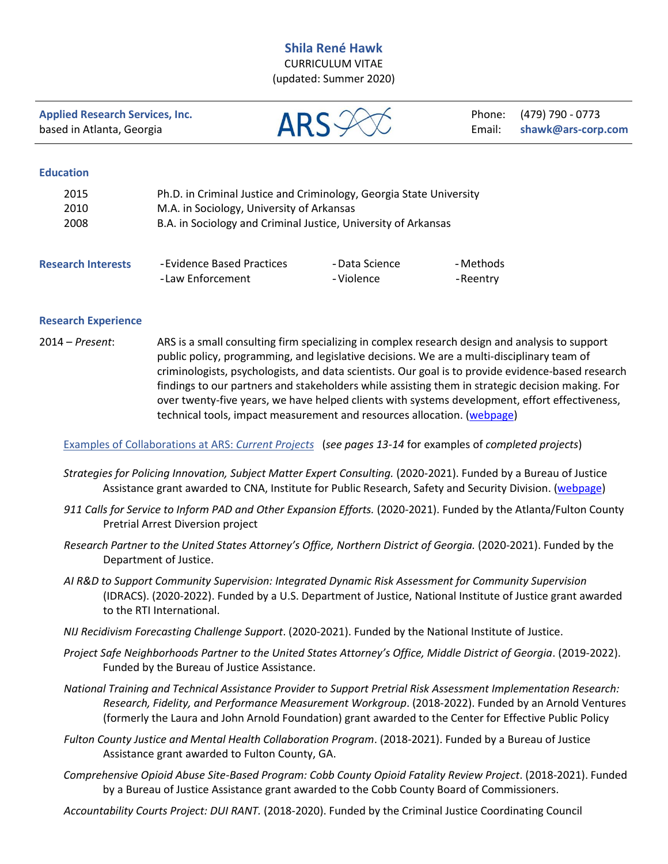## **Shila René Hawk**

CURRICULUM VITAE (updated: Summer 2020)

**Applied Research Services, Inc. ARS** ARS **Phone:** (479) 790 - 0773<br>
based in Atlanta, Georgia **ARS** ARS **Email:** shawk@ars-corre

based in Atlanta, Georgia **Email: shawk@ars-corp.com** 

#### **Education**

| 2015 | Ph.D. in Criminal Justice and Criminology, Georgia State University |
|------|---------------------------------------------------------------------|
| 2010 | M.A. in Sociology, University of Arkansas                           |
| 2008 | B.A. in Sociology and Criminal Justice, University of Arkansas      |
|      |                                                                     |
|      |                                                                     |

| <b>Research Interests</b> | -Evidence Based Practices | - Data Science | - Methods |
|---------------------------|---------------------------|----------------|-----------|
|                           | -Law Enforcement          | - Violence     | -Reentry  |

#### **Research Experience**

2014 – *Present*: ARS is a small consulting firm specializing in complex research design and analysis to support public policy, programming, and legislative decisions. We are a multi-disciplinary team of criminologists, psychologists, and data scientists. Our goal is to provide evidence-based research findings to our partners and stakeholders while assisting them in strategic decision making. For over twenty-five years, we have helped clients with systems development, effort effectiveness, technical tools, impact measurement and resources allocation. [\(webpage\)](http://www.ars-corp.com/bios.aspx)

Examples of Collaborations at ARS: *Current Projects* (*see pages 13-14* for examples of *completed projects*)

- *Strategies for Policing Innovation, Subject Matter Expert Consulting.* (2020-2021). Funded by a Bureau of Justice Assistance grant awarded to CNA, Institute for Public Research, Safety and Security Division. [\(webpage\)](https://www.strategiesforpolicinginnovation.com/about/our-team/shila-hawk)
- *911 Calls for Service to Inform PAD and Other Expansion Efforts.* (2020-2021). Funded by the Atlanta/Fulton County Pretrial Arrest Diversion project
- *Research Partner to the United States Attorney's Office, Northern District of Georgia.* (2020-2021). Funded by the Department of Justice.
- *AI R&D to Support Community Supervision: Integrated Dynamic Risk Assessment for Community Supervision* (IDRACS). (2020-2022). Funded by a U.S. Department of Justice, National Institute of Justice grant awarded to the RTI International.
- *NIJ Recidivism Forecasting Challenge Support*. (2020-2021). Funded by the National Institute of Justice.
- *Project Safe Neighborhoods Partner to the United States Attorney's Office, Middle District of Georgia*. (2019-2022). Funded by the Bureau of Justice Assistance.
- *National Training and Technical Assistance Provider to Support Pretrial Risk Assessment Implementation Research: Research, Fidelity, and Performance Measurement Workgroup*. (2018-2022). Funded by an Arnold Ventures (formerly the Laura and John Arnold Foundation) grant awarded to the Center for Effective Public Policy
- *Fulton County Justice and Mental Health Collaboration Program*. (2018-2021). Funded by a Bureau of Justice Assistance grant awarded to Fulton County, GA.
- *Comprehensive Opioid Abuse Site-Based Program: Cobb County Opioid Fatality Review Project*. (2018-2021). Funded by a Bureau of Justice Assistance grant awarded to the Cobb County Board of Commissioners.

*Accountability Courts Project: DUI RANT.* (2018-2020). Funded by the Criminal Justice Coordinating Council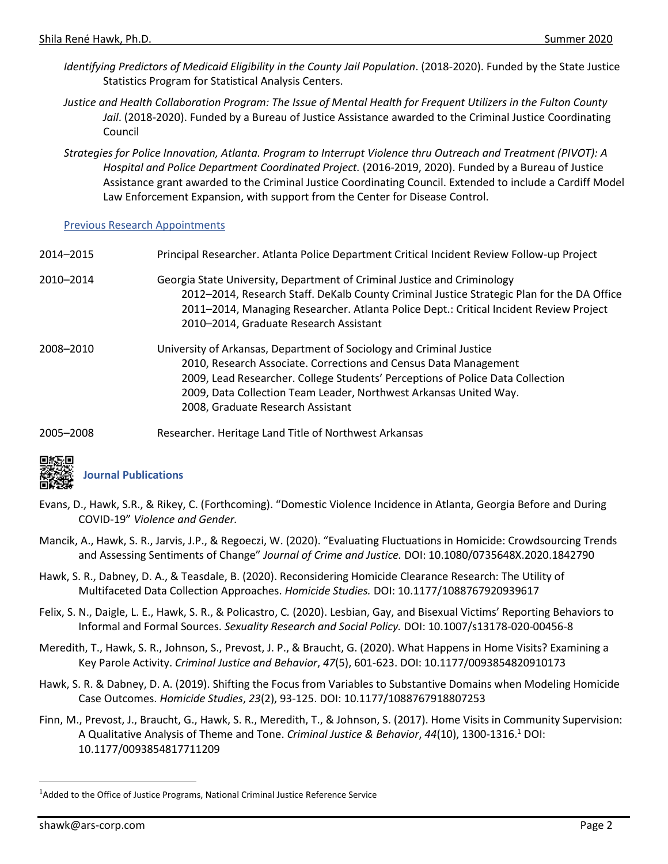- Identifying Predictors of Medicaid Eligibility in the County Jail Population. (2018-2020). Funded by the State Justice Statistics Program for Statistical Analysis Centers.
- *Justice and Health Collaboration Program: The Issue of Mental Health for Frequent Utilizers in the Fulton County Jail*. (2018-2020). Funded by a Bureau of Justice Assistance awarded to the Criminal Justice Coordinating Council
- *Strategies for Police Innovation, Atlanta. Program to Interrupt Violence thru Outreach and Treatment (PIVOT): A Hospital and Police Department Coordinated Project.* (2016-2019, 2020). Funded by a Bureau of Justice Assistance grant awarded to the Criminal Justice Coordinating Council. Extended to include a Cardiff Model Law Enforcement Expansion, with support from the Center for Disease Control.

#### Previous Research Appointments

| 2014-2015 | Principal Researcher. Atlanta Police Department Critical Incident Review Follow-up Project |
|-----------|--------------------------------------------------------------------------------------------|
| 2010-2014 | Georgia State University, Department of Criminal Justice and Criminology                   |
|           | 2012-2014, Research Staff. DeKalb County Criminal Justice Strategic Plan for the DA Office |
|           | 2011-2014, Managing Researcher. Atlanta Police Dept.: Critical Incident Review Project     |
|           | 2010-2014, Graduate Research Assistant                                                     |
| 2008-2010 | University of Arkansas, Department of Sociology and Criminal Justice                       |
|           | 2010, Research Associate. Corrections and Census Data Management                           |
|           | 2009, Lead Researcher. College Students' Perceptions of Police Data Collection             |
|           | 2009, Data Collection Team Leader, Northwest Arkansas United Way.                          |
|           | 2008, Graduate Research Assistant                                                          |
| annt anno | Boccarobor Horitogo Land Title of Narthwest Arkansas                                       |

2005–2008 Researcher. Heritage Land Title of Northwest Arkansas



# **Journal Publications**

- Evans, D., Hawk, S.R., & Rikey, C. (Forthcoming). "Domestic Violence Incidence in Atlanta, Georgia Before and During COVID-19" *Violence and Gender.*
- Mancik, A., Hawk, S. R., Jarvis, J.P., & Regoeczi, W. (2020). "Evaluating Fluctuations in Homicide: Crowdsourcing Trends and Assessing Sentiments of Change" *Journal of Crime and Justice.* DOI: 10.1080/0735648X.2020.1842790
- Hawk, S. R., Dabney, D. A., & Teasdale, B. (2020). Reconsidering Homicide Clearance Research: The Utility of Multifaceted Data Collection Approaches. *Homicide Studies.* DOI: 10.1177/1088767920939617
- Felix, S. N., Daigle, L. E., Hawk, S. R., & Policastro, C*.* (2020). Lesbian, Gay, and Bisexual Victims' Reporting Behaviors to Informal and Formal Sources. *Sexuality Research and Social Policy.* DOI: 10.1007/s13178-020-00456-8
- Meredith, T., Hawk, S. R., Johnson, S., Prevost, J. P., & Braucht, G. (2020). What Happens in Home Visits? Examining a Key Parole Activity. *Criminal Justice and Behavior*, *47*(5), 601-623. DOI: 10.1177/0093854820910173
- Hawk, S. R. & Dabney, D. A. (2019). Shifting the Focus from Variables to Substantive Domains when Modeling Homicide Case Outcomes. *Homicide Studies*, *23*(2), 93-125. DOI: 10.1177/1088767918807253
- Finn, M., Prevost, J., Braucht, G., Hawk, S. R., Meredith, T., & Johnson, S. (2017). Home Visits in Community Supervision: A Qualitative Analysis of Theme and Tone. *Criminal Justice & Behavior*, *44*(10), 1300-1316.<sup>1</sup> DOI: 10.1177/0093854817711209

<sup>&</sup>lt;sup>1</sup>Added to the Office of Justice Programs, National Criminal Justice Reference Service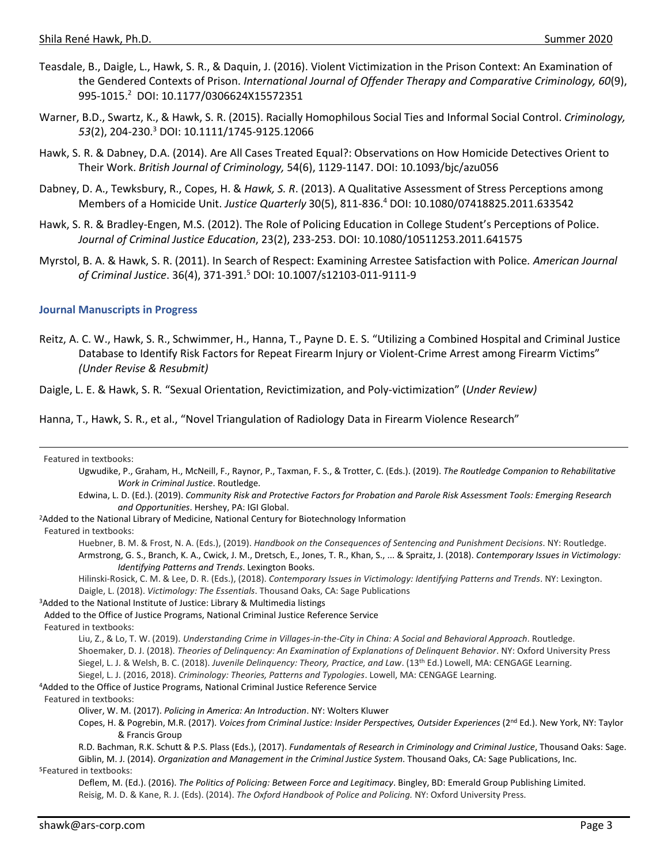- Teasdale, B., Daigle, L., Hawk, S. R., & Daquin, J. (2016). Violent Victimization in the Prison Context: An Examination of the Gendered Contexts of Prison. *International Journal of Offender Therapy and Comparative Criminology, 60*(9), 995-1015. 2 DOI: 10.1177/0306624X15572351
- Warner, B.D., Swartz, K., & Hawk, S. R. (2015). Racially Homophilous Social Ties and Informal Social Control. *Criminology, 53*(2), 204-230.<sup>3</sup> DOI: 10.1111/1745-9125.12066
- Hawk, S. R. & Dabney, D.A. (2014). Are All Cases Treated Equal?: Observations on How Homicide Detectives Orient to Their Work. *British Journal of Criminology,* 54(6), 1129-1147. DOI: 10.1093/bjc/azu056
- Dabney, D. A., Tewksbury, R., Copes, H. & *Hawk, S. R*. (2013). A Qualitative Assessment of Stress Perceptions among Members of a Homicide Unit. *Justice Quarterly* 30(5), 811-836.<sup>4</sup> DOI: 10.1080/07418825.2011.633542
- Hawk, S. R. & Bradley-Engen, M.S. (2012). The Role of Policing Education in College Student's Perceptions of Police. *Journal of Criminal Justice Education*, 23(2), 233-253. DOI: 10.1080/10511253.2011.641575
- Myrstol, B. A. & Hawk, S. R. (2011). In Search of Respect: Examining Arrestee Satisfaction with Police*. American Journal of Criminal Justice*. [36\(4\)](http://www.springerlink.com/content/1066-2316/36/4/), 371-391.<sup>5</sup> DOI: 10.1007/s12103-011-9111-9

#### **Journal Manuscripts in Progress**

Reitz, A. C. W., Hawk, S. R., Schwimmer, H., Hanna, T., Payne D. E. S. "Utilizing a Combined Hospital and Criminal Justice Database to Identify Risk Factors for Repeat Firearm Injury or Violent-Crime Arrest among Firearm Victims" *(Under Revise & Resubmit)*

Daigle, L. E. & Hawk, S. R*.* "Sexual Orientation, Revictimization, and Poly-victimization" (*Under Review)*

Hanna, T., Hawk, S. R., et al., "Novel Triangulation of Radiology Data in Firearm Violence Research"

| Featured in textbooks:                                                                                                                                  |
|---------------------------------------------------------------------------------------------------------------------------------------------------------|
| Ugwudike, P., Graham, H., McNeill, F., Raynor, P., Taxman, F. S., & Trotter, C. (Eds.). (2019). The Routledge Companion to Rehabilitative               |
| Work in Criminal Justice. Routledge.                                                                                                                    |
| Edwina, L. D. (Ed.). (2019). Community Risk and Protective Factors for Probation and Parole Risk Assessment Tools: Emerging Research                    |
| and Opportunities. Hershey, PA: IGI Global.                                                                                                             |
| <sup>2</sup> Added to the National Library of Medicine, National Century for Biotechnology Information                                                  |
| Featured in textbooks:                                                                                                                                  |
| Huebner, B. M. & Frost, N. A. (Eds.), (2019). Handbook on the Consequences of Sentencing and Punishment Decisions. NY: Routledge.                       |
| Armstrong, G. S., Branch, K. A., Cwick, J. M., Dretsch, E., Jones, T. R., Khan, S.,  & Spraitz, J. (2018). Contemporary Issues in Victimology:          |
| Identifying Patterns and Trends. Lexington Books.                                                                                                       |
| Hilinski-Rosick, C. M. & Lee, D. R. (Eds.), (2018). Contemporary Issues in Victimology: Identifying Patterns and Trends. NY: Lexington.                 |
| Daigle, L. (2018). Victimology: The Essentials. Thousand Oaks, CA: Sage Publications                                                                    |
| <sup>3</sup> Added to the National Institute of Justice: Library & Multimedia listings                                                                  |
| Added to the Office of Justice Programs, National Criminal Justice Reference Service                                                                    |
| Featured in textbooks:                                                                                                                                  |
| Liu, Z., & Lo, T. W. (2019). Understanding Crime in Villages-in-the-City in China: A Social and Behavioral Approach. Routledge.                         |
| Shoemaker, D. J. (2018). Theories of Delinquency: An Examination of Explanations of Delinquent Behavior. NY: Oxford University Press                    |
| Siegel, L. J. & Welsh, B. C. (2018). Juvenile Delinguency: Theory, Practice, and Law. (13 <sup>th</sup> Ed.) Lowell, MA: CENGAGE Learning.              |
| Siegel, L. J. (2016, 2018). Criminology: Theories, Patterns and Typologies. Lowell, MA: CENGAGE Learning.                                               |
| <sup>4</sup> Added to the Office of Justice Programs, National Criminal Justice Reference Service                                                       |
| Featured in textbooks:                                                                                                                                  |
| Oliver, W. M. (2017). Policing in America: An Introduction. NY: Wolters Kluwer                                                                          |
| Copes, H. & Pogrebin, M.R. (2017). Voices from Criminal Justice: Insider Perspectives, Outsider Experiences (2 <sup>nd</sup> Ed.). New York, NY: Taylor |
| & Francis Group                                                                                                                                         |
| R.D. Bachman, R.K. Schutt & P.S. Plass (Eds.), (2017). Fundamentals of Research in Criminology and Criminal Justice, Thousand Oaks: Sage.               |
| Giblin, M. J. (2014). Organization and Management in the Criminal Justice System. Thousand Oaks, CA: Sage Publications, Inc.                            |
| <sup>5</sup> Featured in textbooks:                                                                                                                     |
| Deflem, M. (Ed.). (2016). The Politics of Policing: Between Force and Legitimacy. Bingley, BD: Emerald Group Publishing Limited.                        |
| Reisig, M. D. & Kane, R. J. (Eds). (2014). The Oxford Handbook of Police and Policing. NY: Oxford University Press.                                     |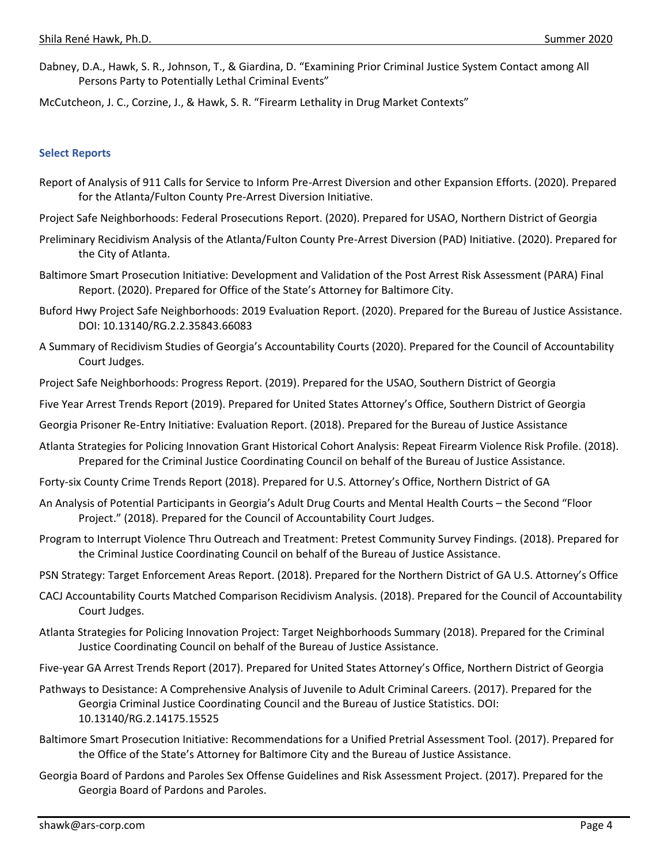Dabney, D.A., Hawk, S. R., Johnson, T., & Giardina, D. "Examining Prior Criminal Justice System Contact among All Persons Party to Potentially Lethal Criminal Events"

McCutcheon, J. C., Corzine, J., & Hawk, S. R. "Firearm Lethality in Drug Market Contexts"

#### **Select Reports**

- Report of Analysis of 911 Calls for Service to Inform Pre-Arrest Diversion and other Expansion Efforts. (2020). Prepared for the Atlanta/Fulton County Pre-Arrest Diversion Initiative.
- Project Safe Neighborhoods: Federal Prosecutions Report. (2020). Prepared for USAO, Northern District of Georgia
- Preliminary Recidivism Analysis of the Atlanta/Fulton County Pre-Arrest Diversion (PAD) Initiative. (2020). Prepared for the City of Atlanta.
- Baltimore Smart Prosecution Initiative: Development and Validation of the Post Arrest Risk Assessment (PARA) Final Report. (2020). Prepared for Office of the State's Attorney for Baltimore City.
- Buford Hwy Project Safe Neighborhoods: 2019 Evaluation Report. (2020). Prepared for the Bureau of Justice Assistance. DOI: 10.13140/RG.2.2.35843.66083
- A Summary of Recidivism Studies of Georgia's Accountability Courts (2020). Prepared for the Council of Accountability Court Judges.
- Project Safe Neighborhoods: Progress Report. (2019). Prepared for the USAO, Southern District of Georgia
- Five Year Arrest Trends Report (2019). Prepared for United States Attorney's Office, Southern District of Georgia

Georgia Prisoner Re-Entry Initiative: Evaluation Report. (2018). Prepared for the Bureau of Justice Assistance

- Atlanta Strategies for Policing Innovation Grant Historical Cohort Analysis: Repeat Firearm Violence Risk Profile. (2018). Prepared for the Criminal Justice Coordinating Council on behalf of the Bureau of Justice Assistance.
- Forty-six County Crime Trends Report (2018). Prepared for U.S. Attorney's Office, Northern District of GA
- An Analysis of Potential Participants in Georgia's Adult Drug Courts and Mental Health Courts the Second "Floor Project." (2018). Prepared for the Council of Accountability Court Judges.
- Program to Interrupt Violence Thru Outreach and Treatment: Pretest Community Survey Findings. (2018). Prepared for the Criminal Justice Coordinating Council on behalf of the Bureau of Justice Assistance.
- PSN Strategy: Target Enforcement Areas Report. (2018). Prepared for the Northern District of GA U.S. Attorney's Office
- CACJ Accountability Courts Matched Comparison Recidivism Analysis. (2018). Prepared for the Council of Accountability Court Judges.
- Atlanta Strategies for Policing Innovation Project: Target Neighborhoods Summary (2018). Prepared for the Criminal Justice Coordinating Council on behalf of the Bureau of Justice Assistance.
- Five-year GA Arrest Trends Report (2017). Prepared for United States Attorney's Office, Northern District of Georgia
- Pathways to Desistance: A Comprehensive Analysis of Juvenile to Adult Criminal Careers. (2017). Prepared for the Georgia Criminal Justice Coordinating Council and the Bureau of Justice Statistics. DOI: 10.13140/RG.2.14175.15525
- Baltimore Smart Prosecution Initiative: Recommendations for a Unified Pretrial Assessment Tool. (2017). Prepared for the Office of the State's Attorney for Baltimore City and the Bureau of Justice Assistance.
- Georgia Board of Pardons and Paroles Sex Offense Guidelines and Risk Assessment Project. (2017). Prepared for the Georgia Board of Pardons and Paroles.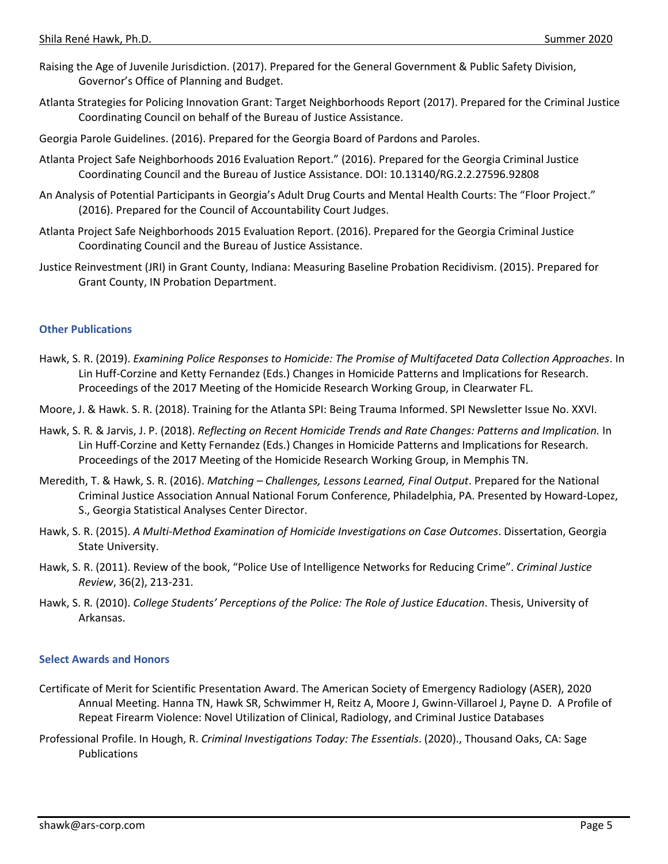- Raising the Age of Juvenile Jurisdiction. (2017). Prepared for the General Government & Public Safety Division, Governor's Office of Planning and Budget.
- Atlanta Strategies for Policing Innovation Grant: Target Neighborhoods Report (2017). Prepared for the Criminal Justice Coordinating Council on behalf of the Bureau of Justice Assistance.
- Georgia Parole Guidelines. (2016). Prepared for the Georgia Board of Pardons and Paroles.
- Atlanta Project Safe Neighborhoods 2016 Evaluation Report." (2016). Prepared for the Georgia Criminal Justice Coordinating Council and the Bureau of Justice Assistance. DOI: 10.13140/RG.2.2.27596.92808
- An Analysis of Potential Participants in Georgia's Adult Drug Courts and Mental Health Courts: The "Floor Project." (2016). Prepared for the Council of Accountability Court Judges.
- Atlanta Project Safe Neighborhoods 2015 Evaluation Report. (2016). Prepared for the Georgia Criminal Justice Coordinating Council and the Bureau of Justice Assistance.
- Justice Reinvestment (JRI) in Grant County, Indiana: Measuring Baseline Probation Recidivism. (2015). Prepared for Grant County, IN Probation Department.

#### **Other Publications**

- Hawk, S. R. (2019). *Examining Police Responses to Homicide: The Promise of Multifaceted Data Collection Approaches*. In Lin Huff-Corzine and Ketty Fernandez (Eds.) Changes in Homicide Patterns and Implications for Research. Proceedings of the 2017 Meeting of the Homicide Research Working Group, in Clearwater FL.
- Moore, J. & Hawk. S. R. (2018). Training for the Atlanta SPI: Being Trauma Informed. SPI Newsletter Issue No. XXVI.
- Hawk, S. R*.* & Jarvis, J. P. (2018). *Reflecting on Recent Homicide Trends and Rate Changes: Patterns and Implication.* In Lin Huff-Corzine and Ketty Fernandez (Eds.) Changes in Homicide Patterns and Implications for Research. Proceedings of the 2017 Meeting of the Homicide Research Working Group, in Memphis TN.
- Meredith, T. & Hawk, S. R. (2016). *Matching – Challenges, Lessons Learned, Final Output*. Prepared for the National Criminal Justice Association Annual National Forum Conference, Philadelphia, PA. Presented by Howard-Lopez, S., Georgia Statistical Analyses Center Director.
- Hawk, S. R. (2015). *A Multi-Method Examination of Homicide Investigations on Case Outcomes*. Dissertation, Georgia State University.
- Hawk, S. R. (2011). Review of the book, "Police Use of Intelligence Networks for Reducing Crime". *Criminal Justice Review*, 36(2), 213-231.
- Hawk, S. R*.* (2010). *College Students' Perceptions of the Police: The Role of Justice Education*. Thesis, University of Arkansas.

#### **Select Awards and Honors**

- Certificate of Merit for Scientific Presentation Award. The American Society of Emergency Radiology (ASER), 2020 Annual Meeting. Hanna TN, Hawk SR, Schwimmer H, Reitz A, Moore J, Gwinn-Villaroel J, Payne D. A Profile of Repeat Firearm Violence: Novel Utilization of Clinical, Radiology, and Criminal Justice Databases
- Professional Profile. In Hough, R. *Criminal Investigations Today: The Essentials*. (2020)., Thousand Oaks, CA: Sage Publications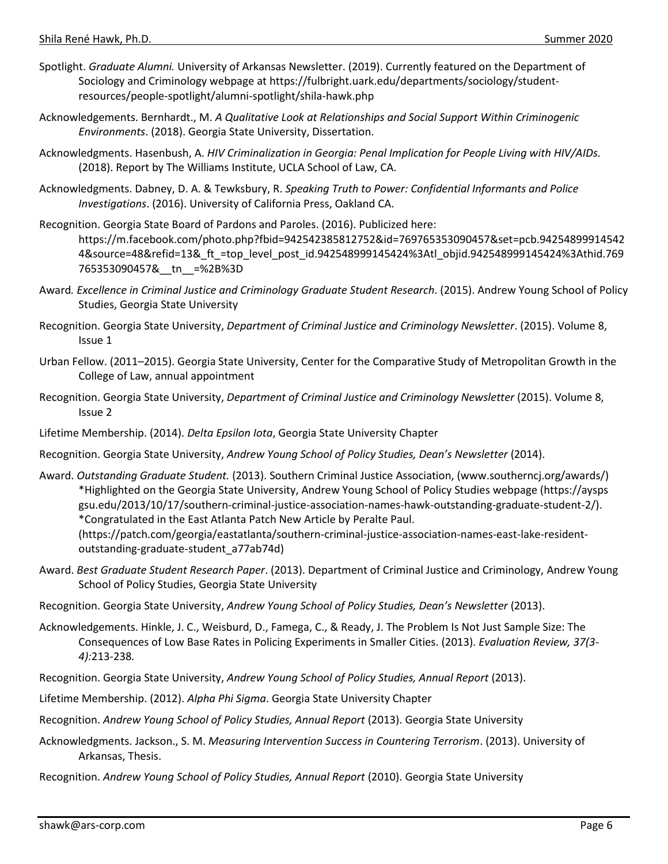- Spotlight. *Graduate Alumni.* University of Arkansas Newsletter. (2019). Currently featured on the Department of Sociology and Criminology webpage at https://fulbright.uark.edu/departments/sociology/studentresources/people-spotlight/alumni-spotlight/shila-hawk.php
- Acknowledgements. Bernhardt., M. *A Qualitative Look at Relationships and Social Support Within Criminogenic Environments*. (2018). Georgia State University, Dissertation.
- Acknowledgments. Hasenbush, A. *HIV Criminalization in Georgia: Penal Implication for People Living with HIV/AIDs.* (2018). Report by The Williams Institute, UCLA School of Law, CA.
- Acknowledgments. Dabney, D. A. & Tewksbury, R. *Speaking Truth to Power: Confidential Informants and Police Investigations*. (2016). University of California Press, Oakland CA.
- Recognition. Georgia State Board of Pardons and Paroles. (2016). Publicized here: https://m.facebook.com/photo.php?fbid=942542385812752&id=769765353090457&set=pcb.94254899914542 4&source=48&refid=13&\_ft\_=top\_level\_post\_id.942548999145424%3Atl\_objid.942548999145424%3Athid.769 765353090457&\_\_tn\_\_=%2B%3D
- Award*. Excellence in Criminal Justice and Criminology Graduate Student Research*. (2015). Andrew Young School of Policy Studies, Georgia State University
- Recognition. Georgia State University, *Department of Criminal Justice and Criminology Newsletter*. (2015). Volume 8, Issue 1
- Urban Fellow. (2011–2015). Georgia State University, Center for the Comparative Study of Metropolitan Growth in the College of Law, annual appointment
- Recognition. Georgia State University, *Department of Criminal Justice and Criminology Newsletter* (2015). Volume 8, Issue 2
- Lifetime Membership. (2014). *Delta Epsilon Iota*, Georgia State University Chapter
- Recognition. Georgia State University, *Andrew Young School of Policy Studies, Dean's Newsletter* (2014).
- Award. *Outstanding Graduate Student.* (2013). Southern Criminal Justice Association, (www.southerncj.org/awards/) \*Highlighted on the Georgia State University, Andrew Young School of Policy Studies webpage (https://aysps gsu.edu/2013/10/17/southern-criminal-justice-association-names-hawk-outstanding-graduate-student-2/). \*Congratulated in the East Atlanta Patch New Article by Peralte Paul. (https://patch.com/georgia/eastatlanta/southern-criminal-justice-association-names-east-lake-residentoutstanding-graduate-student\_a77ab74d)
- Award. *Best Graduate Student Research Paper*. (2013). Department of Criminal Justice and Criminology, Andrew Young School of Policy Studies, Georgia State University
- Recognition. Georgia State University, *Andrew Young School of Policy Studies, Dean's Newsletter* (2013).
- Acknowledgements. Hinkle, J. C., Weisburd, D., Famega, C., & Ready, J. The Problem Is Not Just Sample Size: The Consequences of Low Base Rates in Policing Experiments in Smaller Cities. (2013). *Evaluation Review, 37(3- 4):*213-238*.*
- Recognition. Georgia State University, *Andrew Young School of Policy Studies, Annual Report* (2013).
- Lifetime Membership. (2012). *Alpha Phi Sigma*. Georgia State University Chapter
- Recognition. *Andrew Young School of Policy Studies, Annual Report* (2013). Georgia State University
- Acknowledgments. Jackson., S. M. *Measuring Intervention Success in Countering Terrorism*. (2013). University of Arkansas, Thesis.
- Recognition. *Andrew Young School of Policy Studies, Annual Report* (2010). Georgia State University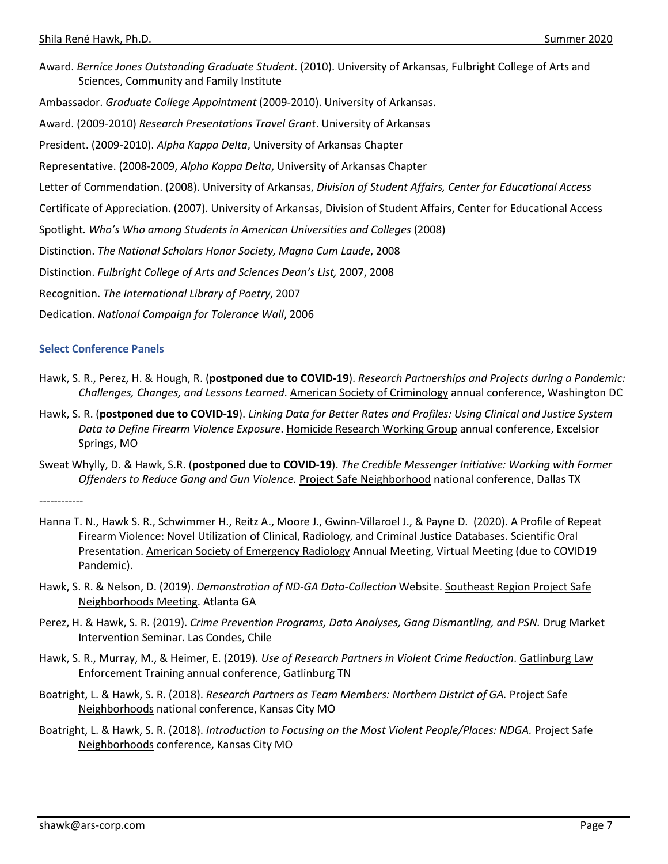Award. *Bernice Jones Outstanding Graduate Student*. (2010). University of Arkansas, Fulbright College of Arts and Sciences, Community and Family Institute Ambassador. *Graduate College Appointment* (2009-2010). University of Arkansas. Award. (2009-2010) *Research Presentations Travel Grant*. University of Arkansas President. (2009-2010). *Alpha Kappa Delta*, University of Arkansas Chapter Representative. (2008-2009, *Alpha Kappa Delta*, University of Arkansas Chapter Letter of Commendation. (2008). University of Arkansas, *Division of Student Affairs, Center for Educational Access* Certificate of Appreciation. (2007). University of Arkansas, Division of Student Affairs, Center for Educational Access Spotlight*. Who's Who among Students in American Universities and Colleges* (2008) Distinction. *The National Scholars Honor Society, Magna Cum Laude*, 2008 Distinction. *Fulbright College of Arts and Sciences Dean's List,* 2007, 2008 Recognition. *The International Library of Poetry*, 2007 Dedication. *National Campaign for Tolerance Wall*, 2006

#### **Select Conference Panels**

- Hawk, S. R., Perez, H. & Hough, R. (**postponed due to COVID-19**). *Research Partnerships and Projects during a Pandemic: Challenges, Changes, and Lessons Learned*. American Society of Criminology annual conference, Washington DC
- Hawk, S. R. (**postponed due to COVID-19**). *Linking Data for Better Rates and Profiles: Using Clinical and Justice System Data to Define Firearm Violence Exposure*. Homicide Research Working Group annual conference, Excelsior Springs, MO
- Sweat Whylly, D. & Hawk, S.R. (**postponed due to COVID-19**). *The Credible Messenger Initiative: Working with Former Offenders to Reduce Gang and Gun Violence.* Project Safe Neighborhood national conference, Dallas TX

------------

- Hanna T. N., Hawk S. R., Schwimmer H., Reitz A., Moore J., Gwinn-Villaroel J., & Payne D. (2020). A Profile of Repeat Firearm Violence: Novel Utilization of Clinical, Radiology, and Criminal Justice Databases. Scientific Oral Presentation. American Society of Emergency Radiology Annual Meeting, Virtual Meeting (due to COVID19 Pandemic).
- Hawk, S. R. & Nelson, D. (2019). *Demonstration of ND-GA Data-Collection* Website. Southeast Region Project Safe Neighborhoods Meeting. Atlanta GA
- Perez, H. & Hawk, S. R. (2019). *Crime Prevention Programs, Data Analyses, Gang Dismantling, and PSN.* Drug Market Intervention Seminar. Las Condes, Chile
- Hawk, S. R., Murray, M., & Heimer, E. (2019). *Use of Research Partners in Violent Crime Reduction*. Gatlinburg Law Enforcement Training annual conference, Gatlinburg TN
- Boatright, L. & Hawk, S. R. (2018). *Research Partners as Team Members: Northern District of GA.* Project Safe Neighborhoods national conference, Kansas City MO
- Boatright, L. & Hawk, S. R. (2018). *Introduction to Focusing on the Most Violent People/Places: NDGA.* Project Safe Neighborhoods conference, Kansas City MO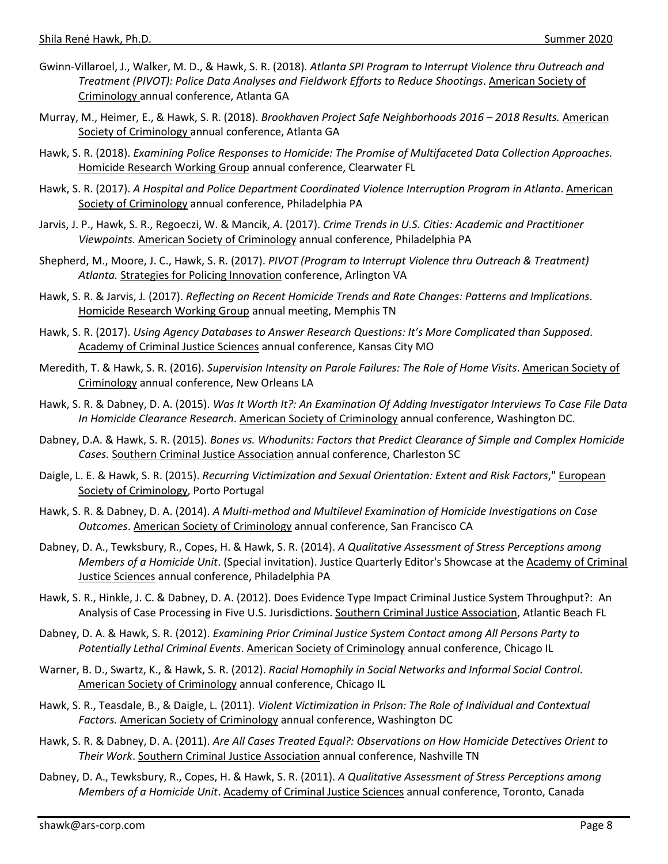- Gwinn-Villaroel, J., Walker, M. D., & Hawk, S. R. (2018). *Atlanta SPI Program to Interrupt Violence thru Outreach and Treatment (PIVOT): Police Data Analyses and Fieldwork Efforts to Reduce Shootings*. American Society of Criminology annual conference, Atlanta GA
- Murray, M., Heimer, E., & Hawk, S. R. (2018). *Brookhaven Project Safe Neighborhoods 2016 – 2018 Results.* American Society of Criminology annual conference, Atlanta GA
- Hawk, S. R. (2018). *Examining Police Responses to Homicide: The Promise of Multifaceted Data Collection Approaches.*  Homicide Research Working Group annual conference, Clearwater FL
- Hawk, S. R. (2017). *A Hospital and Police Department Coordinated Violence Interruption Program in Atlanta*. American Society of Criminology annual conference, Philadelphia PA
- Jarvis, J. P., Hawk, S. R., Regoeczi, W. & Mancik, *A.* (2017). *Crime Trends in U.S. Cities: Academic and Practitioner Viewpoints.* American Society of Criminology annual conference, Philadelphia PA
- Shepherd, M., Moore, J. C., Hawk, S. R. (2017). *PIVOT (Program to Interrupt Violence thru Outreach & Treatment) Atlanta.* Strategies for Policing Innovation conference, Arlington VA
- Hawk, S. R. & Jarvis, J*.* (2017). *Reflecting on Recent Homicide Trends and Rate Changes: Patterns and Implications*. Homicide Research Working Group annual meeting, Memphis TN
- Hawk, S. R. (2017). *Using Agency Databases to Answer Research Questions: It's More Complicated than Supposed*. Academy of Criminal Justice Sciences annual conference, Kansas City MO
- Meredith, T. & Hawk, S. R. (2016). *Supervision Intensity on Parole Failures: The Role of Home Visits*. American Society of Criminology annual conference, New Orleans LA
- Hawk, S. R. & Dabney, D. A. (2015). *Was It Worth It?: An Examination Of Adding Investigator Interviews To Case File Data In Homicide Clearance Research*. American Society of Criminology annual conference, Washington DC.
- Dabney, D.A. & Hawk, S. R. (2015). *Bones vs. Whodunits: Factors that Predict Clearance of Simple and Complex Homicide Cases.* Southern Criminal Justice Association annual conference, Charleston SC
- Daigle, L. E. & Hawk, S. R. (2015). *Recurring Victimization and Sexual Orientation: Extent and Risk Factors*," European Society of Criminology, Porto Portugal
- Hawk, S. R. & Dabney, D. A. (2014). *A Multi-method and Multilevel Examination of Homicide Investigations on Case Outcomes*. American Society of Criminology annual conference, San Francisco CA
- Dabney, D. A., Tewksbury, R., Copes, H. & Hawk, S. R. (2014). *A Qualitative Assessment of Stress Perceptions among Members of a Homicide Unit*. (Special invitation). Justice Quarterly Editor's Showcase at the Academy of Criminal Justice Sciences annual conference, Philadelphia PA
- Hawk, S. R., Hinkle, J. C. & Dabney, D. A. (2012). Does Evidence Type Impact Criminal Justice System Throughput?: An Analysis of Case Processing in Five U.S. Jurisdictions. Southern Criminal Justice Association, Atlantic Beach FL
- Dabney, D. A. & Hawk, S. R. (2012). *Examining Prior Criminal Justice System Contact among All Persons Party to Potentially Lethal Criminal Events*. American Society of Criminology annual conference, Chicago IL
- Warner, B. D., Swartz, K., & Hawk, S. R. (2012). *Racial Homophily in Social Networks and Informal Social Control*. American Society of Criminology annual conference, Chicago IL
- Hawk, S. R., Teasdale, B., & Daigle, L*.* (2011). *Violent Victimization in Prison: The Role of Individual and Contextual Factors.* American Society of Criminology annual conference, Washington DC
- Hawk, S. R. & Dabney, D. A. (2011). *Are All Cases Treated Equal?: Observations on How Homicide Detectives Orient to Their Work*. Southern Criminal Justice Association annual conference, Nashville TN
- Dabney, D. A., Tewksbury, R., Copes, H. & Hawk, S. R. (2011). *A Qualitative Assessment of Stress Perceptions among Members of a Homicide Unit*. Academy of Criminal Justice Sciences annual conference, Toronto, Canada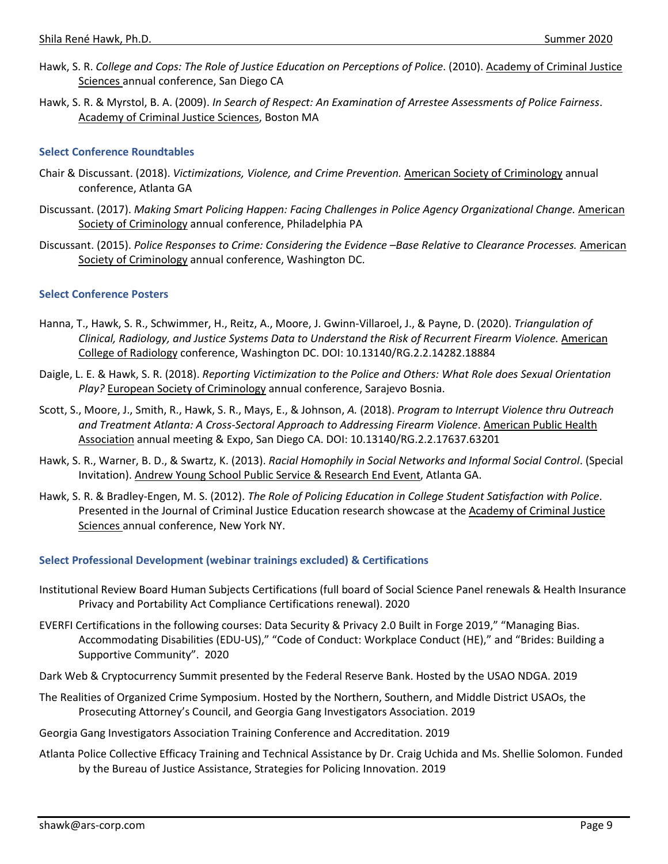- Hawk, S. R. *College and Cops: The Role of Justice Education on Perceptions of Police*. (2010). Academy of Criminal Justice Sciences annual conference, San Diego CA
- Hawk, S. R. & Myrstol, B. A. (2009). *In Search of Respect: An Examination of Arrestee Assessments of Police Fairness*. Academy of Criminal Justice Sciences, Boston MA

#### **Select Conference Roundtables**

- Chair & Discussant. (2018). *Victimizations, Violence, and Crime Prevention.* American Society of Criminology annual conference, Atlanta GA
- Discussant. (2017). *Making Smart Policing Happen: Facing Challenges in Police Agency Organizational Change. American* Society of Criminology annual conference, Philadelphia PA
- Discussant. (2015). Police Responses to Crime: Considering the Evidence -Base Relative to Clearance Processes. American Society of Criminology annual conference, Washington DC.

#### **Select Conference Posters**

- Hanna, T., Hawk, S. R., Schwimmer, H., Reitz, A., Moore, J. Gwinn-Villaroel, J., & Payne, D. (2020). *Triangulation of Clinical, Radiology, and Justice Systems Data to Understand the Risk of Recurrent Firearm Violence.* American College of Radiology conference, Washington DC. DOI: 10.13140/RG.2.2.14282.18884
- Daigle, L. E. & Hawk, S. R. (2018). *Reporting Victimization to the Police and Others: What Role does Sexual Orientation Play?* European Society of Criminology annual conference, Sarajevo Bosnia.
- Scott, S., Moore, J., Smith, R., Hawk, S. R., Mays, E., & Johnson, *A.* (2018). *Program to Interrupt Violence thru Outreach and Treatment Atlanta: A Cross-Sectoral Approach to Addressing Firearm Violence*. American Public Health Association annual meeting & Expo, San Diego CA. DOI: 10.13140/RG.2.2.17637.63201
- Hawk, S. R., Warner, B. D., & Swartz, K. (2013). *Racial Homophily in Social Networks and Informal Social Control*. (Special Invitation). Andrew Young School Public Service & Research End Event, Atlanta GA.
- Hawk, S. R. & Bradley-Engen, M. S. (2012). *The Role of Policing Education in College Student Satisfaction with Police*. Presented in the Journal of Criminal Justice Education research showcase at the Academy of Criminal Justice Sciences annual conference, New York NY.

#### **Select Professional Development (webinar trainings excluded) & Certifications**

- Institutional Review Board Human Subjects Certifications (full board of Social Science Panel renewals & Health Insurance Privacy and Portability Act Compliance Certifications renewal). 2020
- EVERFI Certifications in the following courses: Data Security & Privacy 2.0 Built in Forge 2019," "Managing Bias. Accommodating Disabilities (EDU-US)," "Code of Conduct: Workplace Conduct (HE)," and "Brides: Building a Supportive Community". 2020
- Dark Web & Cryptocurrency Summit presented by the Federal Reserve Bank. Hosted by the USAO NDGA. 2019
- The Realities of Organized Crime Symposium. Hosted by the Northern, Southern, and Middle District USAOs, the Prosecuting Attorney's Council, and Georgia Gang Investigators Association. 2019
- Georgia Gang Investigators Association Training Conference and Accreditation. 2019
- Atlanta Police Collective Efficacy Training and Technical Assistance by Dr. Craig Uchida and Ms. Shellie Solomon. Funded by the Bureau of Justice Assistance, Strategies for Policing Innovation. 2019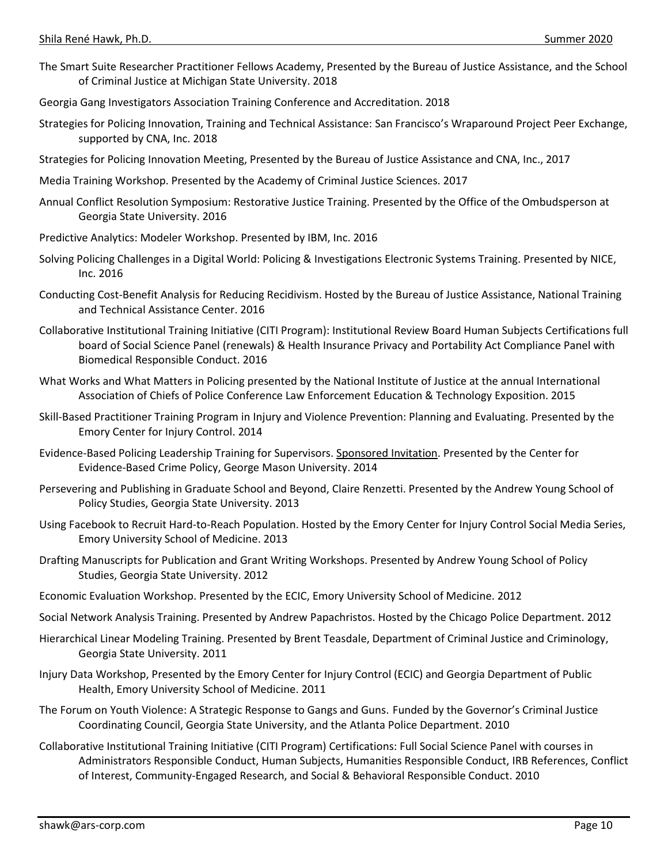- The Smart Suite Researcher Practitioner Fellows Academy, Presented by the Bureau of Justice Assistance, and the School of Criminal Justice at Michigan State University. 2018
- Georgia Gang Investigators Association Training Conference and Accreditation. 2018
- Strategies for Policing Innovation, Training and Technical Assistance: San Francisco's Wraparound Project Peer Exchange, supported by CNA, Inc. 2018
- Strategies for Policing Innovation Meeting, Presented by the Bureau of Justice Assistance and CNA, Inc., 2017
- Media Training Workshop. Presented by the Academy of Criminal Justice Sciences. 2017
- Annual Conflict Resolution Symposium: Restorative Justice Training. Presented by the Office of the Ombudsperson at Georgia State University. 2016
- Predictive Analytics: Modeler Workshop. Presented by IBM, Inc. 2016
- Solving Policing Challenges in a Digital World: Policing & Investigations Electronic Systems Training. Presented by NICE, Inc. 2016
- Conducting Cost-Benefit Analysis for Reducing Recidivism. Hosted by the Bureau of Justice Assistance, National Training and Technical Assistance Center. 2016
- Collaborative Institutional Training Initiative (CITI Program): Institutional Review Board Human Subjects Certifications full board of Social Science Panel (renewals) & Health Insurance Privacy and Portability Act Compliance Panel with Biomedical Responsible Conduct. 2016
- What Works and What Matters in Policing presented by the National Institute of Justice at the annual International Association of Chiefs of Police Conference Law Enforcement Education & Technology Exposition. 2015
- Skill-Based Practitioner Training Program in Injury and Violence Prevention: Planning and Evaluating. Presented by the Emory Center for Injury Control. 2014
- Evidence-Based Policing Leadership Training for Supervisors. Sponsored Invitation. Presented by the Center for Evidence-Based Crime Policy, George Mason University. 2014
- Persevering and Publishing in Graduate School and Beyond, Claire Renzetti. Presented by the Andrew Young School of Policy Studies, Georgia State University. 2013
- Using Facebook to Recruit Hard-to-Reach Population. Hosted by the Emory Center for Injury Control Social Media Series, Emory University School of Medicine. 2013
- Drafting Manuscripts for Publication and Grant Writing Workshops. Presented by Andrew Young School of Policy Studies, Georgia State University. 2012
- Economic Evaluation Workshop. Presented by the ECIC, Emory University School of Medicine. 2012
- Social Network Analysis Training. Presented by Andrew Papachristos. Hosted by the Chicago Police Department. 2012
- Hierarchical Linear Modeling Training. Presented by Brent Teasdale, Department of Criminal Justice and Criminology, Georgia State University. 2011
- Injury Data Workshop, Presented by the Emory Center for Injury Control (ECIC) and Georgia Department of Public Health, Emory University School of Medicine. 2011
- The Forum on Youth Violence: A Strategic Response to Gangs and Guns. Funded by the Governor's Criminal Justice Coordinating Council, Georgia State University, and the Atlanta Police Department. 2010
- Collaborative Institutional Training Initiative (CITI Program) Certifications: Full Social Science Panel with courses in Administrators Responsible Conduct, Human Subjects, Humanities Responsible Conduct, IRB References, Conflict of Interest, Community-Engaged Research, and Social & Behavioral Responsible Conduct. 2010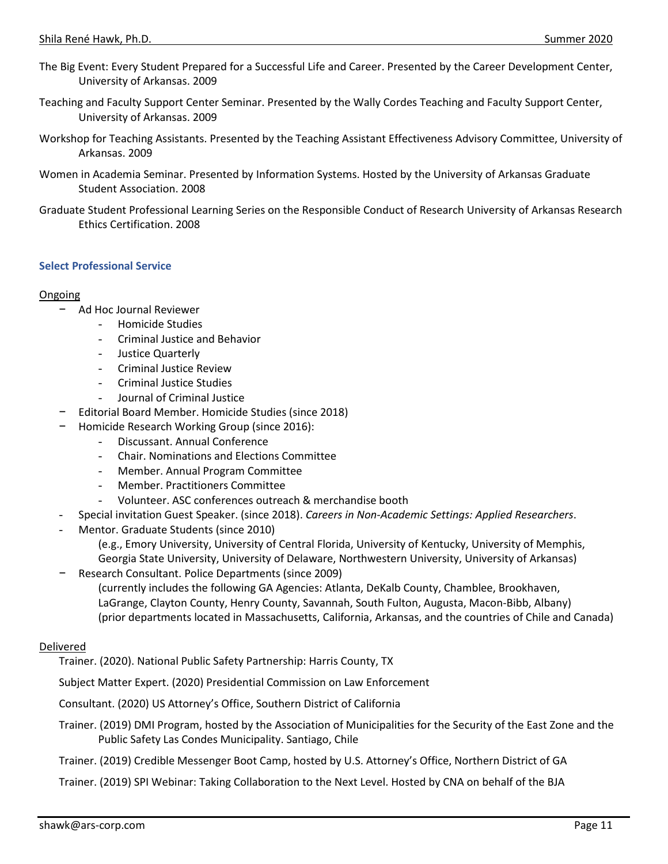- The Big Event: Every Student Prepared for a Successful Life and Career. Presented by the Career Development Center, University of Arkansas. 2009
- Teaching and Faculty Support Center Seminar. Presented by the Wally Cordes Teaching and Faculty Support Center, University of Arkansas. 2009
- Workshop for Teaching Assistants. Presented by the Teaching Assistant Effectiveness Advisory Committee, University of Arkansas. 2009
- Women in Academia Seminar. Presented by Information Systems. Hosted by the University of Arkansas Graduate Student Association. 2008
- Graduate Student Professional Learning Series on the Responsible Conduct of Research University of Arkansas Research Ethics Certification. 2008

#### **Select Professional Service**

#### Ongoing

- − Ad Hoc Journal Reviewer
	- Homicide Studies
	- Criminal Justice and Behavior
	- Justice Quarterly
	- Criminal Justice Review
	- Criminal Justice Studies
	- Journal of Criminal Justice
	- − Editorial Board Member. Homicide Studies (since 2018)
- − Homicide Research Working Group (since 2016):
	- Discussant. Annual Conference
	- Chair. Nominations and Elections Committee
	- Member. Annual Program Committee
	- Member. Practitioners Committee
	- Volunteer. ASC conferences outreach & merchandise booth
- Special invitation Guest Speaker. (since 2018). *Careers in Non-Academic Settings: Applied Researchers*.
- Mentor. Graduate Students (since 2010)
	- (e.g., Emory University, University of Central Florida, University of Kentucky, University of Memphis,
	- Georgia State University, University of Delaware, Northwestern University, University of Arkansas) − Research Consultant. Police Departments (since 2009)
		- (currently includes the following GA Agencies: Atlanta, DeKalb County, Chamblee, Brookhaven, LaGrange, Clayton County, Henry County, Savannah, South Fulton, Augusta, Macon-Bibb, Albany) (prior departments located in Massachusetts, California, Arkansas, and the countries of Chile and Canada)

### **Delivered**

Trainer. (2020). National Public Safety Partnership: Harris County, TX

Subject Matter Expert. (2020) Presidential Commission on Law Enforcement

Consultant. (2020) US Attorney's Office, Southern District of California

- Trainer. (2019) DMI Program, hosted by the Association of Municipalities for the Security of the East Zone and the Public Safety Las Condes Municipality. Santiago, Chile
- Trainer. (2019) Credible Messenger Boot Camp, hosted by U.S. Attorney's Office, Northern District of GA

Trainer. (2019) SPI Webinar: Taking Collaboration to the Next Level. Hosted by CNA on behalf of the BJA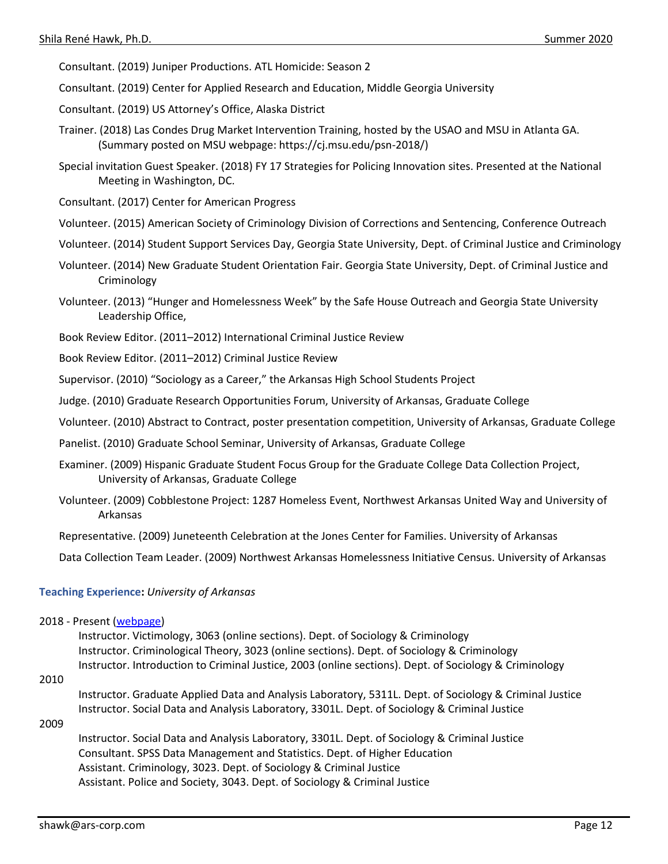Consultant. (2019) Juniper Productions. ATL Homicide: Season 2

Consultant. (2019) Center for Applied Research and Education, Middle Georgia University

Consultant. (2019) US Attorney's Office, Alaska District

- Trainer. (2018) Las Condes Drug Market Intervention Training, hosted by the USAO and MSU in Atlanta GA. (Summary posted on MSU webpage: https://cj.msu.edu/psn-2018/)
- Special invitation Guest Speaker. (2018) FY 17 Strategies for Policing Innovation sites. Presented at the National Meeting in Washington, DC.
- Consultant. (2017) Center for American Progress
- Volunteer. (2015) American Society of Criminology Division of Corrections and Sentencing, Conference Outreach
- Volunteer. (2014) Student Support Services Day, Georgia State University, Dept. of Criminal Justice and Criminology
- Volunteer. (2014) New Graduate Student Orientation Fair. Georgia State University, Dept. of Criminal Justice and Criminology
- Volunteer. (2013) "Hunger and Homelessness Week" by the Safe House Outreach and Georgia State University Leadership Office,
- Book Review Editor. (2011–2012) International Criminal Justice Review

Book Review Editor. (2011–2012) Criminal Justice Review

Supervisor. (2010) "Sociology as a Career," the Arkansas High School Students Project

Judge. (2010) Graduate Research Opportunities Forum, University of Arkansas, Graduate College

Volunteer. (2010) Abstract to Contract, poster presentation competition, University of Arkansas, Graduate College

Panelist. (2010) Graduate School Seminar, University of Arkansas, Graduate College

- Examiner. (2009) Hispanic Graduate Student Focus Group for the Graduate College Data Collection Project, University of Arkansas, Graduate College
- Volunteer. (2009) Cobblestone Project: 1287 Homeless Event, Northwest Arkansas United Way and University of Arkansas
- Representative. (2009) Juneteenth Celebration at the Jones Center for Families. University of Arkansas

Data Collection Team Leader. (2009) Northwest Arkansas Homelessness Initiative Census. University of Arkansas

#### **Teaching Experience:** *University of Arkansas*

2018 - Present [\(webpage\)](https://fulbright.uark.edu/departments/sociology/people/index/uid/shawk/name/Shila+Rene+Hawk/)

Instructor. Victimology, 3063 (online sections). Dept. of Sociology & Criminology Instructor. Criminological Theory, 3023 (online sections). Dept. of Sociology & Criminology Instructor. Introduction to Criminal Justice, 2003 (online sections). Dept. of Sociology & Criminology

2010

Instructor. Graduate Applied Data and Analysis Laboratory, 5311L. Dept. of Sociology & Criminal Justice Instructor. Social Data and Analysis Laboratory, 3301L. Dept. of Sociology & Criminal Justice

#### 2009

Instructor. Social Data and Analysis Laboratory, 3301L. Dept. of Sociology & Criminal Justice Consultant. SPSS Data Management and Statistics. Dept. of Higher Education Assistant. Criminology, 3023. Dept. of Sociology & Criminal Justice Assistant. Police and Society, 3043. Dept. of Sociology & Criminal Justice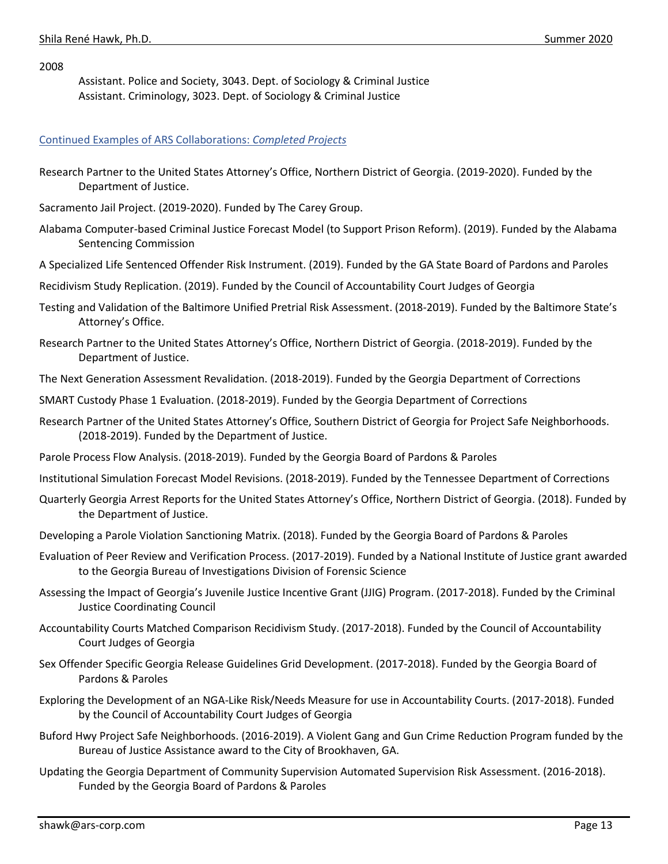2008

Assistant. Police and Society, 3043. Dept. of Sociology & Criminal Justice Assistant. Criminology, 3023. Dept. of Sociology & Criminal Justice

#### Continued Examples of ARS Collaborations: *Completed Projects*

- Research Partner to the United States Attorney's Office, Northern District of Georgia. (2019-2020). Funded by the Department of Justice.
- Sacramento Jail Project. (2019-2020). Funded by The Carey Group.
- Alabama Computer-based Criminal Justice Forecast Model (to Support Prison Reform). (2019). Funded by the Alabama Sentencing Commission
- A Specialized Life Sentenced Offender Risk Instrument. (2019). Funded by the GA State Board of Pardons and Paroles
- Recidivism Study Replication. (2019). Funded by the Council of Accountability Court Judges of Georgia
- Testing and Validation of the Baltimore Unified Pretrial Risk Assessment. (2018-2019). Funded by the Baltimore State's Attorney's Office.
- Research Partner to the United States Attorney's Office, Northern District of Georgia. (2018-2019). Funded by the Department of Justice.
- The Next Generation Assessment Revalidation. (2018-2019). Funded by the Georgia Department of Corrections
- SMART Custody Phase 1 Evaluation. (2018-2019). Funded by the Georgia Department of Corrections
- Research Partner of the United States Attorney's Office, Southern District of Georgia for Project Safe Neighborhoods. (2018-2019). Funded by the Department of Justice.
- Parole Process Flow Analysis. (2018-2019). Funded by the Georgia Board of Pardons & Paroles
- Institutional Simulation Forecast Model Revisions. (2018-2019). Funded by the Tennessee Department of Corrections
- Quarterly Georgia Arrest Reports for the United States Attorney's Office, Northern District of Georgia. (2018). Funded by the Department of Justice.
- Developing a Parole Violation Sanctioning Matrix. (2018). Funded by the Georgia Board of Pardons & Paroles
- Evaluation of Peer Review and Verification Process. (2017-2019). Funded by a National Institute of Justice grant awarded to the Georgia Bureau of Investigations Division of Forensic Science
- Assessing the Impact of Georgia's Juvenile Justice Incentive Grant (JJIG) Program. (2017-2018). Funded by the Criminal Justice Coordinating Council
- Accountability Courts Matched Comparison Recidivism Study. (2017-2018). Funded by the Council of Accountability Court Judges of Georgia
- Sex Offender Specific Georgia Release Guidelines Grid Development. (2017-2018). Funded by the Georgia Board of Pardons & Paroles
- Exploring the Development of an NGA-Like Risk/Needs Measure for use in Accountability Courts. (2017-2018). Funded by the Council of Accountability Court Judges of Georgia
- Buford Hwy Project Safe Neighborhoods. (2016-2019). A Violent Gang and Gun Crime Reduction Program funded by the Bureau of Justice Assistance award to the City of Brookhaven, GA.
- Updating the Georgia Department of Community Supervision Automated Supervision Risk Assessment. (2016-2018). Funded by the Georgia Board of Pardons & Paroles